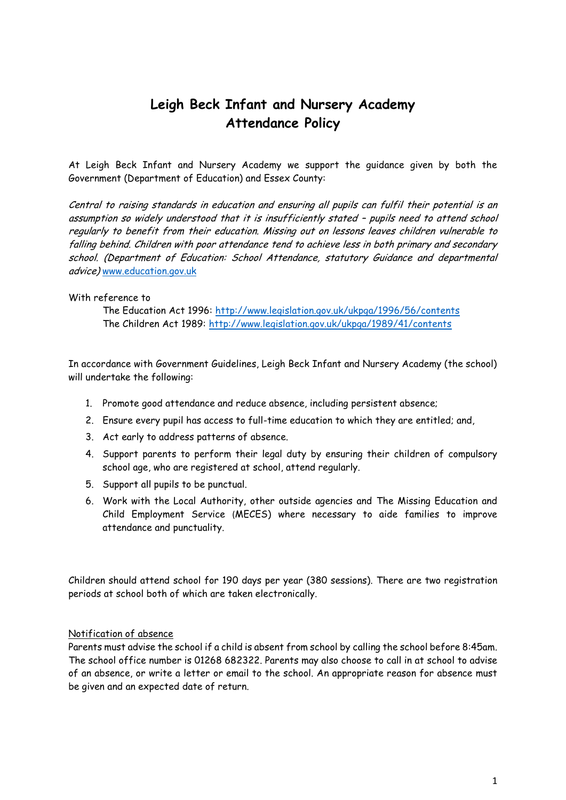# **Leigh Beck Infant and Nursery Academy Attendance Policy**

At Leigh Beck Infant and Nursery Academy we support the guidance given by both the Government (Department of Education) and Essex County:

Central to raising standards in education and ensuring all pupils can fulfil their potential is an assumption so widely understood that it is insufficiently stated – pupils need to attend school regularly to benefit from their education. Missing out on lessons leaves children vulnerable to falling behind. Children with poor attendance tend to achieve less in both primary and secondary school. (Department of Education: School Attendance, statutory Guidance and departmental advice) [www.education.gov.uk](http://www.education.gov.uk/)

#### With reference to

The Education Act 1996:<http://www.legislation.gov.uk/ukpga/1996/56/contents> The Children Act 1989:<http://www.legislation.gov.uk/ukpga/1989/41/contents>

In accordance with Government Guidelines, Leigh Beck Infant and Nursery Academy (the school) will undertake the following:

- 1. Promote good attendance and reduce absence, including persistent absence;
- 2. Ensure every pupil has access to full-time education to which they are entitled; and,
- 3. Act early to address patterns of absence.
- 4. Support parents to perform their legal duty by ensuring their children of compulsory school age, who are registered at school, attend regularly.
- 5. Support all pupils to be punctual.
- 6. Work with the Local Authority, other outside agencies and The Missing Education and Child Employment Service (MECES) where necessary to aide families to improve attendance and punctuality.

Children should attend school for 190 days per year (380 sessions). There are two registration periods at school both of which are taken electronically.

#### Notification of absence

Parents must advise the school if a child is absent from school by calling the school before 8:45am. The school office number is 01268 682322. Parents may also choose to call in at school to advise of an absence, or write a letter or email to the school. An appropriate reason for absence must be given and an expected date of return.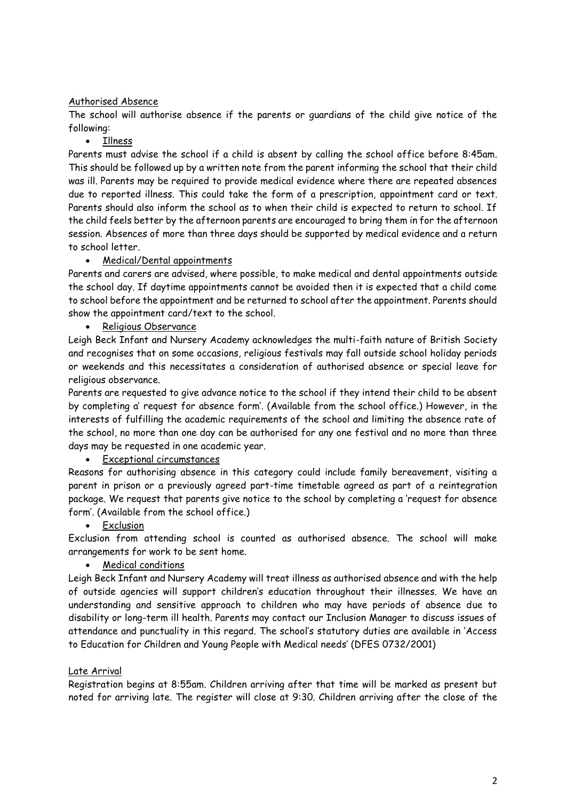# Authorised Absence

The school will authorise absence if the parents or guardians of the child give notice of the following:

• Illness

Parents must advise the school if a child is absent by calling the school office before 8:45am. This should be followed up by a written note from the parent informing the school that their child was ill. Parents may be required to provide medical evidence where there are repeated absences due to reported illness. This could take the form of a prescription, appointment card or text. Parents should also inform the school as to when their child is expected to return to school. If the child feels better by the afternoon parents are encouraged to bring them in for the afternoon session. Absences of more than three days should be supported by medical evidence and a return to school letter.

## Medical/Dental appointments

Parents and carers are advised, where possible, to make medical and dental appointments outside the school day. If daytime appointments cannot be avoided then it is expected that a child come to school before the appointment and be returned to school after the appointment. Parents should show the appointment card/text to the school.

• Religious Observance

Leigh Beck Infant and Nursery Academy acknowledges the multi-faith nature of British Society and recognises that on some occasions, religious festivals may fall outside school holiday periods or weekends and this necessitates a consideration of authorised absence or special leave for religious observance.

Parents are requested to give advance notice to the school if they intend their child to be absent by completing a' request for absence form'. (Available from the school office.) However, in the interests of fulfilling the academic requirements of the school and limiting the absence rate of the school, no more than one day can be authorised for any one festival and no more than three days may be requested in one academic year.

## Exceptional circumstances

Reasons for authorising absence in this category could include family bereavement, visiting a parent in prison or a previously agreed part-time timetable agreed as part of a reintegration package. We request that parents give notice to the school by completing a 'request for absence form'. (Available from the school office.)

**•** Exclusion

Exclusion from attending school is counted as authorised absence. The school will make arrangements for work to be sent home.

## Medical conditions

Leigh Beck Infant and Nursery Academy will treat illness as authorised absence and with the help of outside agencies will support children's education throughout their illnesses. We have an understanding and sensitive approach to children who may have periods of absence due to disability or long-term ill health. Parents may contact our Inclusion Manager to discuss issues of attendance and punctuality in this regard. The school's statutory duties are available in 'Access to Education for Children and Young People with Medical needs' (DFES 0732/2001)

## Late Arrival

Registration begins at 8:55am. Children arriving after that time will be marked as present but noted for arriving late. The register will close at 9:30. Children arriving after the close of the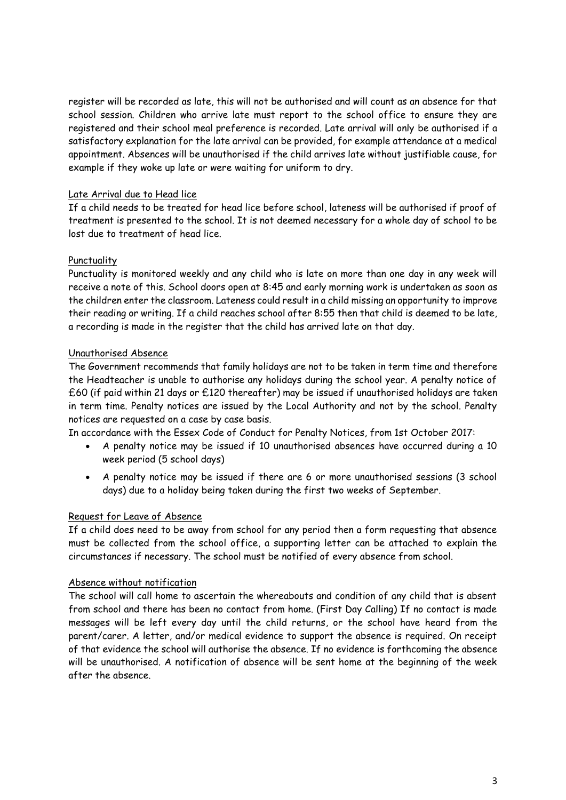register will be recorded as late, this will not be authorised and will count as an absence for that school session. Children who arrive late must report to the school office to ensure they are registered and their school meal preference is recorded. Late arrival will only be authorised if a satisfactory explanation for the late arrival can be provided, for example attendance at a medical appointment. Absences will be unauthorised if the child arrives late without justifiable cause, for example if they woke up late or were waiting for uniform to dry.

## Late Arrival due to Head lice

If a child needs to be treated for head lice before school, lateness will be authorised if proof of treatment is presented to the school. It is not deemed necessary for a whole day of school to be lost due to treatment of head lice.

#### Punctuality

Punctuality is monitored weekly and any child who is late on more than one day in any week will receive a note of this. School doors open at 8:45 and early morning work is undertaken as soon as the children enter the classroom. Lateness could result in a child missing an opportunity to improve their reading or writing. If a child reaches school after 8:55 then that child is deemed to be late, a recording is made in the register that the child has arrived late on that day.

## Unauthorised Absence

The Government recommends that family holidays are not to be taken in term time and therefore the Headteacher is unable to authorise any holidays during the school year. A penalty notice of £60 (if paid within 21 days or £120 thereafter) may be issued if unauthorised holidays are taken in term time. Penalty notices are issued by the Local Authority and not by the school. Penalty notices are requested on a case by case basis.

In accordance with the Essex Code of Conduct for Penalty Notices, from 1st October 2017:

- A penalty notice may be issued if 10 unauthorised absences have occurred during a 10 week period (5 school days)
- A penalty notice may be issued if there are 6 or more unauthorised sessions (3 school days) due to a holiday being taken during the first two weeks of September.

## Request for Leave of Absence

If a child does need to be away from school for any period then a form requesting that absence must be collected from the school office, a supporting letter can be attached to explain the circumstances if necessary. The school must be notified of every absence from school.

## Absence without notification

The school will call home to ascertain the whereabouts and condition of any child that is absent from school and there has been no contact from home. (First Day Calling) If no contact is made messages will be left every day until the child returns, or the school have heard from the parent/carer. A letter, and/or medical evidence to support the absence is required. On receipt of that evidence the school will authorise the absence. If no evidence is forthcoming the absence will be unauthorised. A notification of absence will be sent home at the beginning of the week after the absence.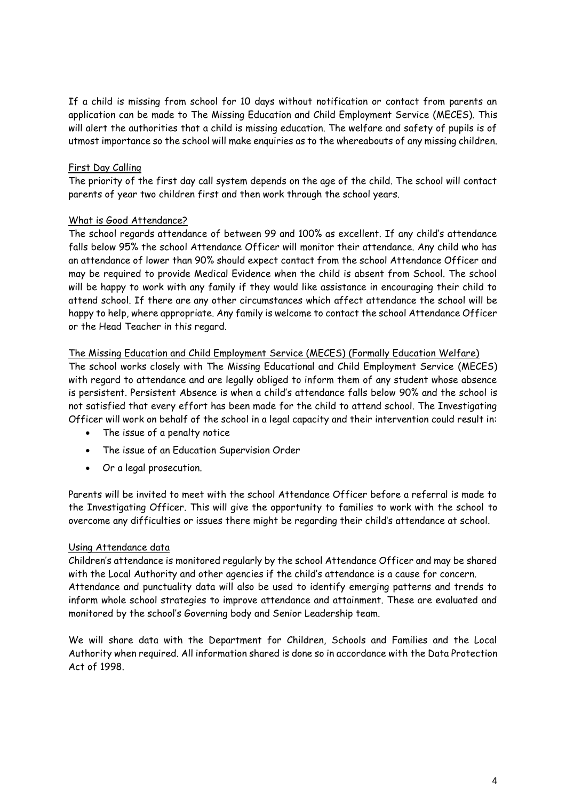If a child is missing from school for 10 days without notification or contact from parents an application can be made to The Missing Education and Child Employment Service (MECES). This will alert the authorities that a child is missing education. The welfare and safety of pupils is of utmost importance so the school will make enquiries as to the whereabouts of any missing children.

# First Day Calling

The priority of the first day call system depends on the age of the child. The school will contact parents of year two children first and then work through the school years.

## What is Good Attendance?

The school regards attendance of between 99 and 100% as excellent. If any child's attendance falls below 95% the school Attendance Officer will monitor their attendance. Any child who has an attendance of lower than 90% should expect contact from the school Attendance Officer and may be required to provide Medical Evidence when the child is absent from School. The school will be happy to work with any family if they would like assistance in encouraging their child to attend school. If there are any other circumstances which affect attendance the school will be happy to help, where appropriate. Any family is welcome to contact the school Attendance Officer or the Head Teacher in this regard.

# The Missing Education and Child Employment Service (MECES) (Formally Education Welfare)

The school works closely with The Missing Educational and Child Employment Service (MECES) with regard to attendance and are legally obliged to inform them of any student whose absence is persistent. Persistent Absence is when a child's attendance falls below 90% and the school is not satisfied that every effort has been made for the child to attend school. The Investigating Officer will work on behalf of the school in a legal capacity and their intervention could result in:

- The issue of a penalty notice
- The issue of an Education Supervision Order
- Or a legal prosecution.

Parents will be invited to meet with the school Attendance Officer before a referral is made to the Investigating Officer. This will give the opportunity to families to work with the school to overcome any difficulties or issues there might be regarding their child's attendance at school.

## Using Attendance data

Children's attendance is monitored regularly by the school Attendance Officer and may be shared with the Local Authority and other agencies if the child's attendance is a cause for concern. Attendance and punctuality data will also be used to identify emerging patterns and trends to inform whole school strategies to improve attendance and attainment. These are evaluated and monitored by the school's Governing body and Senior Leadership team.

We will share data with the Department for Children, Schools and Families and the Local Authority when required. All information shared is done so in accordance with the Data Protection Act of 1998.